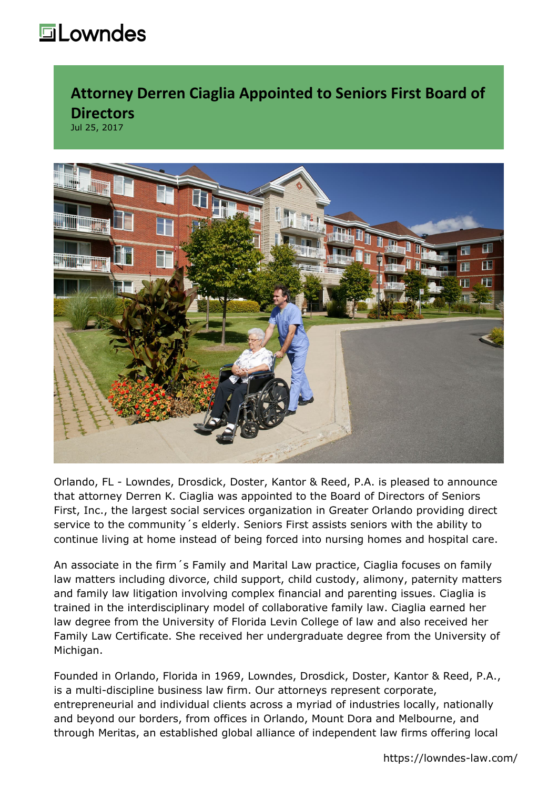## **howndes**

**Attorney Derren Ciaglia Appointed to Seniors First Board of Directors** Jul 25, 2017



Orlando, FL - [Lowndes, Drosdick, Doster, Kantor & Reed, P.A.](https://www.lowndes-law.com/) is pleased to announce that attorney [Derren K. Ciaglia](https://lowndes-law.com/people/derren-k-ciaglia/) was appointed to the Board of Directors of Seniors First, Inc., the largest social services organization in Greater Orlando providing direct service to the community´s elderly. Seniors First assists seniors with the ability to continue living at home instead of being forced into nursing homes and hospital care.

An associate in the firm´s [Family and Marital Law practice](https://lowndes-law.com/services-and-industries/services/family-marital-law/), Ciaglia focuses on family law matters including divorce, child support, child custody, alimony, paternity matters and family law litigation involving complex financial and parenting issues. Ciaglia is trained in the interdisciplinary model of collaborative family law. Ciaglia earned her law degree from the University of Florida Levin College of law and also received her Family Law Certificate. She received her undergraduate degree from the University of Michigan.

Founded in Orlando, Florida in 1969, Lowndes, Drosdick, Doster, Kantor & Reed, P.A., is a multi-discipline business law firm. Our attorneys represent corporate, entrepreneurial and individual clients across a myriad of industries locally, nationally and beyond our borders, from offices in Orlando, Mount Dora and Melbourne, and through Meritas, an established global alliance of independent law firms offering local